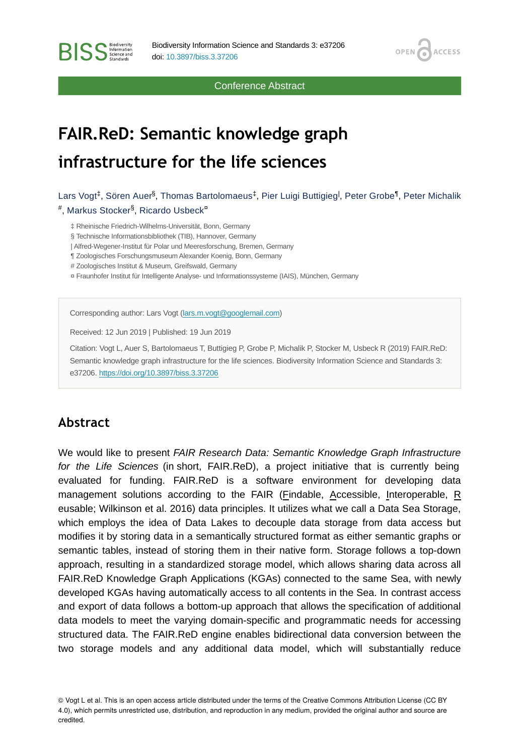Conference Abstract

**OPEN** 

**ACCESS** 

# **FAIR.ReD: Semantic knowledge graph infrastructure for the life sciences**

Lars Vogt $^\ddag$ , Sören Auer $^\delta$ , Thomas Bartolomaeus $^\ddag$ , Pier Luigi Buttigieg<sup>l</sup>, Peter Grobe $^\P$ , Peter Michalik #, Markus Stocker<sup>§</sup>, Ricardo Usbeck<sup>¤</sup>

‡ Rheinische Friedrich-Wilhelms-Universität, Bonn, Germany

§ Technische Informationsbibliothek (TIB), Hannover, Germany

| Alfred-Wegener-Institut für Polar und Meeresforschung, Bremen, Germany

¶ Zoologisches Forschungsmuseum Alexander Koenig, Bonn, Germany

# Zoologisches Institut & Museum, Greifswald, Germany

¤ Fraunhofer Institut für Intelligente Analyse- und Informationssysteme (IAIS), München, Germany

Corresponding author: Lars Vogt ([lars.m.vogt@googlemail.com\)](mailto:lars.m.vogt@googlemail.com)

Received: 12 Jun 2019 | Published: 19 Jun 2019

Citation: Vogt L, Auer S, Bartolomaeus T, Buttigieg P, Grobe P, Michalik P, Stocker M, Usbeck R (2019) FAIR.ReD: Semantic knowledge graph infrastructure for the life sciences. Biodiversity Information Science and Standards 3: e37206.<https://doi.org/10.3897/biss.3.37206>

### **Abstract**

**BISS** Steince and

We would like to present *FAIR Research Data: Semantic Knowledge Graph Infrastructure for the Life Sciences* (in short, FAIR.ReD), a project initiative that is currently being evaluated for funding. FAIR.ReD is a software environment for developing data management solutions according to the FAIR (Findable, Accessible, Interoperable, R eusable; Wilkinson et al. 2016) data principles. It utilizes what we call a Data Sea Storage, which employs the idea of Data Lakes to decouple data storage from data access but modifies it by storing data in a semantically structured format as either semantic graphs or semantic tables, instead of storing them in their native form. Storage follows a top-down approach, resulting in a standardized storage model, which allows sharing data across all FAIR.ReD Knowledge Graph Applications (KGAs) connected to the same Sea, with newly developed KGAs having automatically access to all contents in the Sea. In contrast access and export of data follows a bottom-up approach that allows the specification of additional data models to meet the varying domain-specific and programmatic needs for accessing structured data. The FAIR.ReD engine enables bidirectional data conversion between the two storage models and any additional data model, which will substantially reduce

© Vogt L et al. This is an open access article distributed under the terms of the Creative Commons Attribution License (CC BY 4.0), which permits unrestricted use, distribution, and reproduction in any medium, provided the original author and source are credited.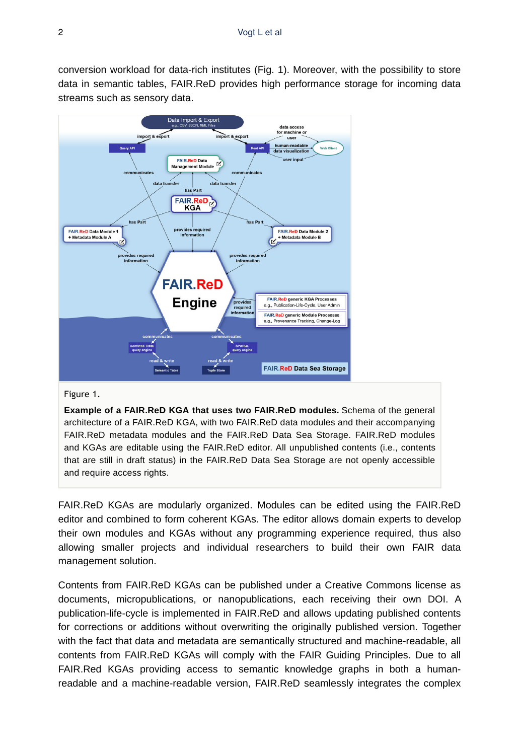conversion workload for data-rich institutes (Fig. 1). Moreover, with the possibility to store data in semantic tables, FAIR.ReD provides high performance storage for incoming data streams such as sensory data.



#### Figure 1.

**Example of a FAIR.ReD KGA that uses two FAIR.ReD modules.** Schema of the general architecture of a FAIR.ReD KGA, with two FAIR.ReD data modules and their accompanying FAIR.ReD metadata modules and the FAIR.ReD Data Sea Storage. FAIR.ReD modules and KGAs are editable using the FAIR.ReD editor. All unpublished contents (i.e., contents that are still in draft status) in the FAIR.ReD Data Sea Storage are not openly accessible and require access rights.

FAIR.ReD KGAs are modularly organized. Modules can be edited using the FAIR.ReD editor and combined to form coherent KGAs. The editor allows domain experts to develop their own modules and KGAs without any programming experience required, thus also allowing smaller projects and individual researchers to build their own FAIR data management solution.

Contents from FAIR.ReD KGAs can be published under a Creative Commons license as documents, micropublications, or nanopublications, each receiving their own DOI. A publication-life-cycle is implemented in FAIR.ReD and allows updating published contents for corrections or additions without overwriting the originally published version. Together with the fact that data and metadata are semantically structured and machine-readable, all contents from FAIR.ReD KGAs will comply with the FAIR Guiding Principles. Due to all FAIR.Red KGAs providing access to semantic knowledge graphs in both a humanreadable and a machine-readable version, FAIR.ReD seamlessly integrates the complex